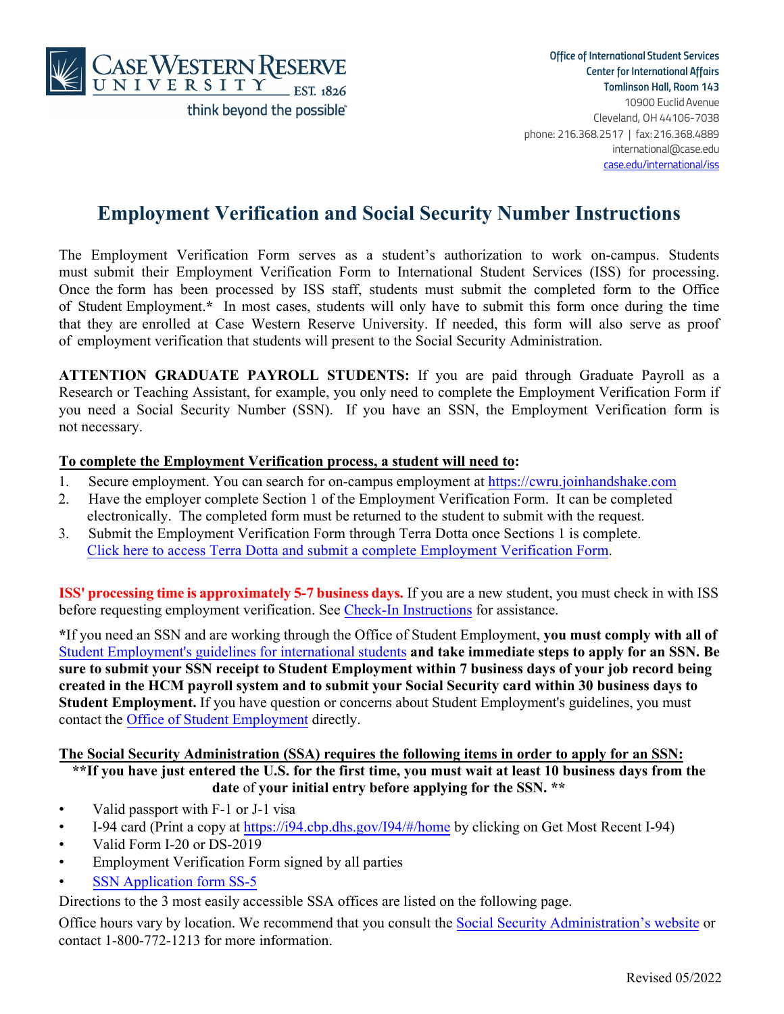

# **Employment Verification and Social Security Number Instructions**

The Employment Verification Form serves as a student's authorization to work on-campus. Students must submit their Employment Verification Form to International Student Services (ISS) for processing. Once the form has been processed by ISS staff, students must submit the completed form to the Office of Student Employment.**\*** In most cases, students will only have to submit this form once during the time that they are enrolled at Case Western Reserve University. If needed, this form will also serve as proof of employment verification that students will present to the Social Security Administration.

**ATTENTION GRADUATE PAYROLL STUDENTS:** If you are paid through Graduate Payroll as a Research or Teaching Assistant, for example, you only need to complete the Employment Verification Form if you need a Social Security Number (SSN). If you have an SSN, the Employment Verification form is not necessary.

### **To complete the Employment Verification process, a student will need to:**

- 1. Secure employment. You can search for on-campus employment at [https://cwru.joinhandshake.com](https://cwru.joinhandshake.com/)
- 2. Have the employer complete Section 1 of the Employment Verification Form. It can be completed electronically. The completed form must be returned to the student to submit with the request.
- 3. Submit the Employment Verification Form through Terra Dotta once Sections 1 is complete. Click here to access Terra Dotta and submit a [complete Employment Verification Form](https://visas.case.edu/index.cfm?FuseAction=Programs.ViewProgram&Program_ID=10058).

**ISS' processing time is approximately 5-7 business days.** If you are a new student, you must check in with ISS before requesting employment verification. See [Check-In Instructions](https://visas.case.edu/_customtags/ct_FileRetrieve.cfm?File_ID=4645) for assistance.

**\***If you need an SSN and are working through the Office of Student Employment, **you must comply with all of** [Student Employment's guidelines for international students](https://case.edu/financialaid/student-employment/student-employment-forms) **and take immediate steps to apply for an SSN. Be sure to submit your SSN receipt to Student Employment within 7 business days of your job record being created in the HCM payroll system and to submit your Social Security card within 30 business days to Student Employment.** If you have question or concerns about Student Employment's guidelines, you must contact the [Office of Student Employment](mailto:stu-emp@case.edu) directly.

#### **The Social Security Administration (SSA) requires the following items in order to apply for an SSN: \*\*If you have just entered the U.S. for the first time, you must wait at least 10 business days from the**

**date** of **your initial entry before applying for the SSN. \*\*** 

- Valid passport with F-1 or J-1 visa
- I-94 card (Print a copy at <https://i94.cbp.dhs.gov/I94/#/home> by clicking on Get Most Recent I-94)
- [Valid Form I-20 or DS-2019](https://www.ssa.gov/forms/ss-5.pdf)
- Employment Verification Form signed by all parties
- **[SSN Application form SS-5](https://www.ssa.gov/forms/)**

Directions to the 3 most easily accessible SSA offices are listed on the following page.

Office hours vary by location. We recommend that you consult the Social Security [Administration's](https://secure.ssa.gov/ICON/main.jsp) website or contact 1-800-772-1213 for more information.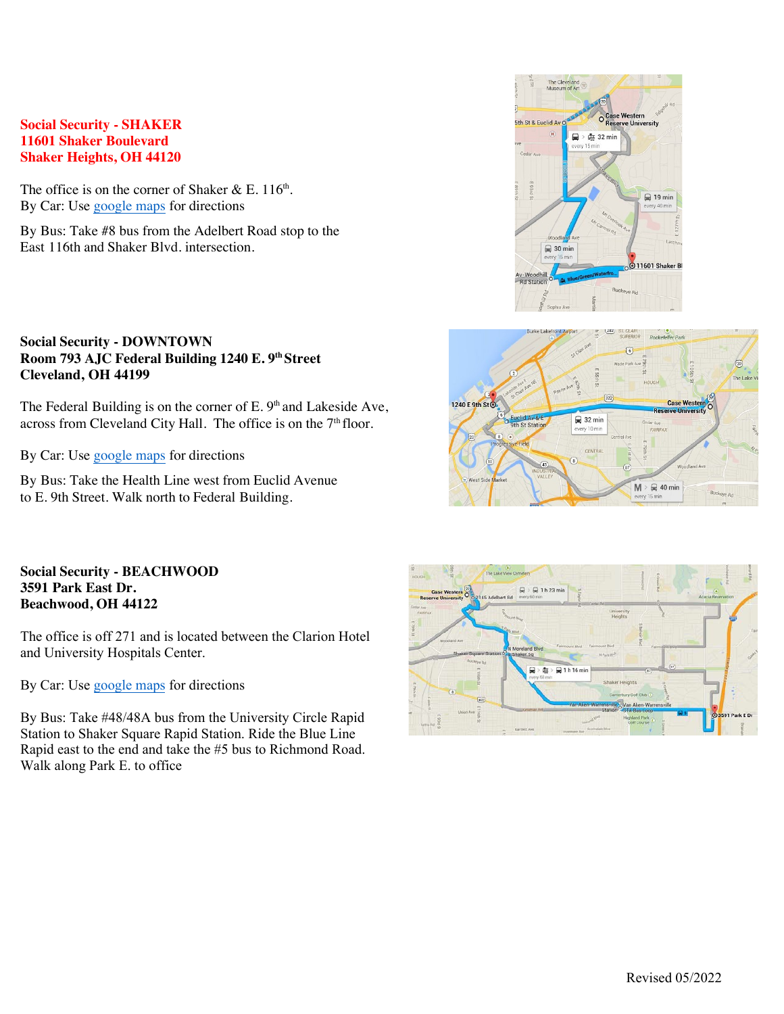### **Social Security - SHAKER 11601 Shaker Boulevard Shaker Heights, OH 44120**

The office is on the corner of Shaker & E.  $116^{\text{th}}$ . By Car: Us[e google maps](https://www.google.com/maps) for directions

By Bus: Take #8 bus from the Adelbert Road stop to the East 116th and Shaker Blvd. intersection.

### **Social Security - DOWNTOWN Room 793 AJC Federal Building 1240 E. 9th Street Cleveland, OH 44199**

The Federal Building is on the corner of E. 9<sup>th</sup> and Lakeside Ave, across from Cleveland City Hall. The office is on the  $7<sup>th</sup>$  floor.

By Car: Use [google maps](https://www.google.com/maps) for directions

By Bus: Take the Health Line west from Euclid Avenue to E. 9th Street. Walk north to Federal Building.

### **Social Security - BEACHWOOD 3591 Park East Dr. Beachwood, OH 44122**

The office is off 271 and is located between the Clarion Hotel and University Hospitals Center.

By Car: Use [google maps](https://www.google.com/maps) for directions

By Bus: Take #48/48A bus from the University Circle Rapid Station to Shaker Square Rapid Station. Ride the Blue Line Rapid east to the end and take the #5 bus to Richmond Road. Walk along Park E. to office





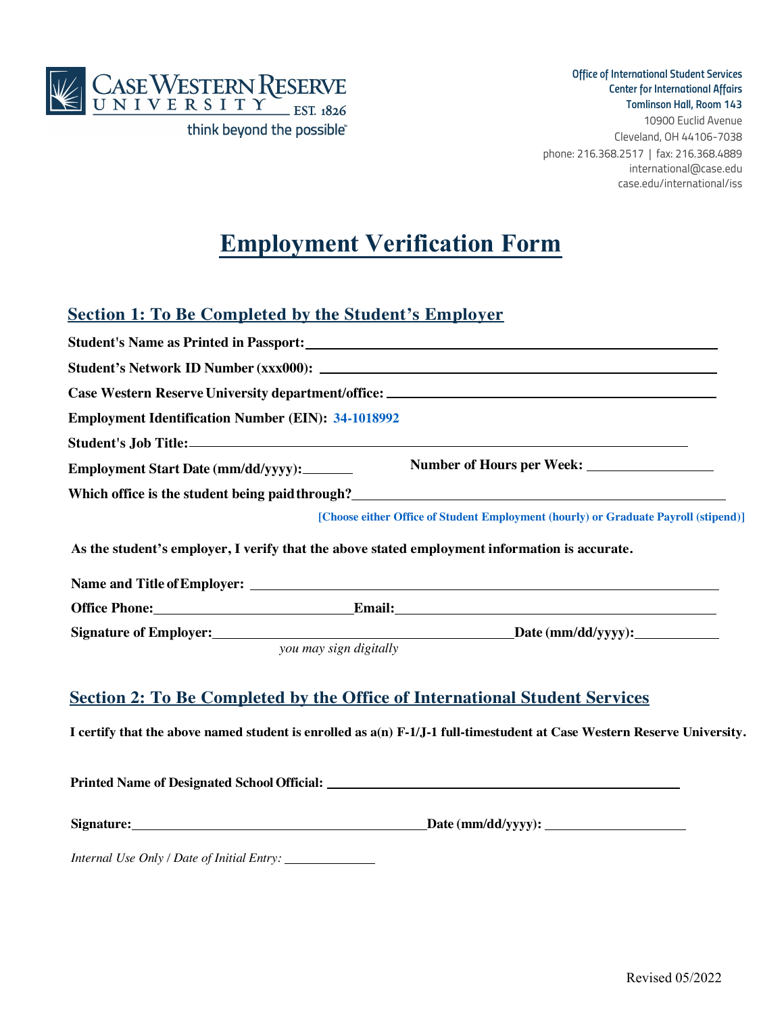

*Office of International Student Services Center for International Affairs Tomlinson Hall, Room 143* 10900 Euclid Avenue Cleveland, OH 44106-7038 phone: 216.368.2517 | fax: 216.368.4889 international@case.edu [case.edu/international/iss](https://case.edu/international/)

# **Employment Verification Form**

## **Section 1: To Be Completed by the Student's Employer**

| <b>Employment Identification Number (EIN): 34-1018992</b>                                                  |
|------------------------------------------------------------------------------------------------------------|
|                                                                                                            |
|                                                                                                            |
| Which office is the student being paid through?<br><u> Which office is the student being paid through?</u> |
| [Choose either Office of Student Employment (hourly) or Graduate Payroll (stipend)]                        |
| As the student's employer, I verify that the above stated employment information is accurate.              |
|                                                                                                            |
| Office Phone: Email: Email:                                                                                |
|                                                                                                            |
| you may sign digitally                                                                                     |
| $\alpha$ is a replaced to the state $\alpha$ of $\alpha$ is a replaced to the state $\alpha$               |

## **Section 2: To Be Completed by the Office of International Student Services**

**I certify that the above named student is enrolled as a(n) F-1/J-1 full-timestudent at Case Western Reserve University.**

**Printed Name of Designated School Official: Signature: Date (mm/dd/yyyy):**  *Internal Use Only / Date of Initial Entry:*